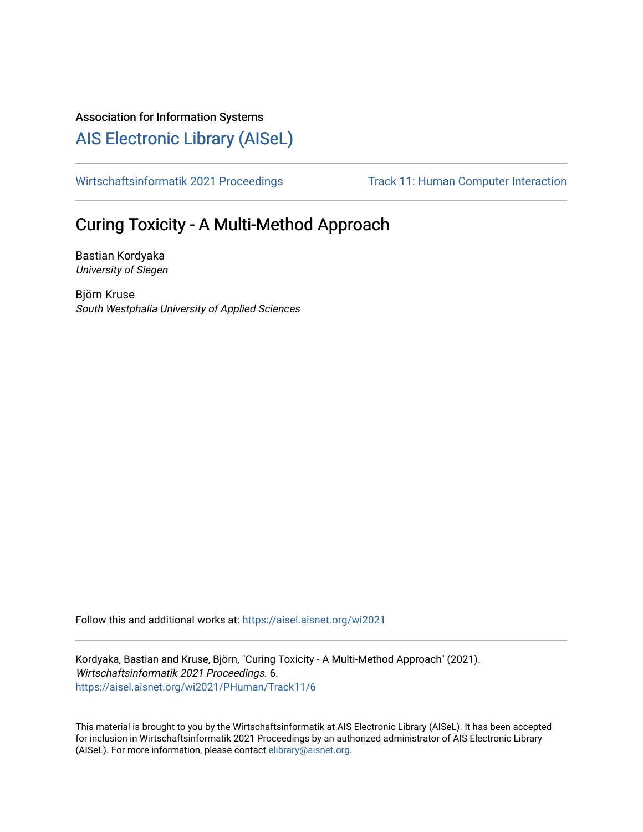Association for Information Systems

## [AIS Electronic Library \(AISeL\)](https://aisel.aisnet.org/)

[Wirtschaftsinformatik 2021 Proceedings](https://aisel.aisnet.org/wi2021) Track 11: Human Computer Interaction

# Curing Toxicity - A Multi-Method Approach

Bastian Kordyaka University of Siegen

Björn Kruse South Westphalia University of Applied Sciences

Follow this and additional works at: https://aisel.aisnet.org/wi2021

Kordyaka, Bastian and Kruse, Björn, "Curing Toxicity - A Multi-Method Approach" (2021). Wirtschaftsinformatik 2021 Proceedings. 6. [https://aisel.aisnet.org/wi2021/PHuman/Track11/6](https://aisel.aisnet.org/wi2021/PHuman/Track11/6?utm_source=aisel.aisnet.org%2Fwi2021%2FPHuman%2FTrack11%2F6&utm_medium=PDF&utm_campaign=PDFCoverPages) 

This material is brought to you by the Wirtschaftsinformatik at AIS Electronic Library (AISeL). It has been accepted for inclusion in Wirtschaftsinformatik 2021 Proceedings by an authorized administrator of AIS Electronic Library (AISeL). For more information, please contact [elibrary@aisnet.org](mailto:elibrary@aisnet.org%3E).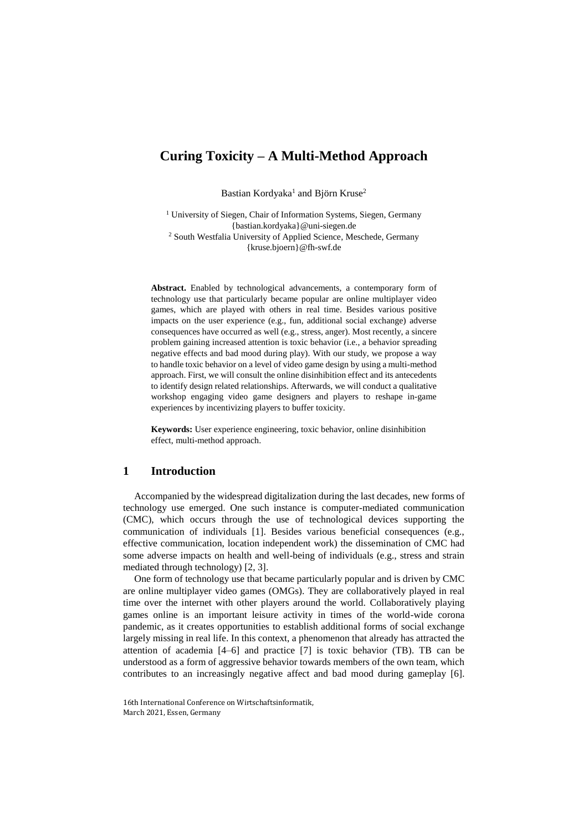## **Curing Toxicity – A Multi-Method Approach**

Bastian Kordyaka<sup>1</sup> and Björn Kruse<sup>2</sup>

<sup>1</sup> University of Siegen, Chair of Information Systems, Siegen, Germany {bastian.kordyaka}@uni-siegen.de <sup>2</sup> South Westfalia University of Applied Science, Meschede, Germany {kruse.bjoern}@fh-swf.de

**Abstract.** Enabled by technological advancements, a contemporary form of technology use that particularly became popular are online multiplayer video games, which are played with others in real time. Besides various positive impacts on the user experience (e.g., fun, additional social exchange) adverse consequences have occurred as well (e.g., stress, anger). Most recently, a sincere problem gaining increased attention is toxic behavior (i.e., a behavior spreading negative effects and bad mood during play). With our study, we propose a way to handle toxic behavior on a level of video game design by using a multi-method approach. First, we will consult the online disinhibition effect and its antecedents to identify design related relationships. Afterwards, we will conduct a qualitative workshop engaging video game designers and players to reshape in-game experiences by incentivizing players to buffer toxicity.

**Keywords:** User experience engineering, toxic behavior, online disinhibition effect, multi-method approach.

### **1 Introduction**

Accompanied by the widespread digitalization during the last decades, new forms of technology use emerged. One such instance is computer-mediated communication (CMC), which occurs through the use of technological devices supporting the communication of individuals [1]. Besides various beneficial consequences (e.g., effective communication, location independent work) the dissemination of CMC had some adverse impacts on health and well-being of individuals (e.g., stress and strain mediated through technology) [2, 3].

One form of technology use that became particularly popular and is driven by CMC are online multiplayer video games (OMGs). They are collaboratively played in real time over the internet with other players around the world. Collaboratively playing games online is an important leisure activity in times of the world-wide corona pandemic, as it creates opportunities to establish additional forms of social exchange largely missing in real life. In this context, a phenomenon that already has attracted the attention of academia [4–6] and practice [7] is toxic behavior (TB). TB can be understood as a form of aggressive behavior towards members of the own team, which contributes to an increasingly negative affect and bad mood during gameplay [6].

<sup>16</sup>th International Conference on Wirtschaftsinformatik, March 2021, Essen, Germany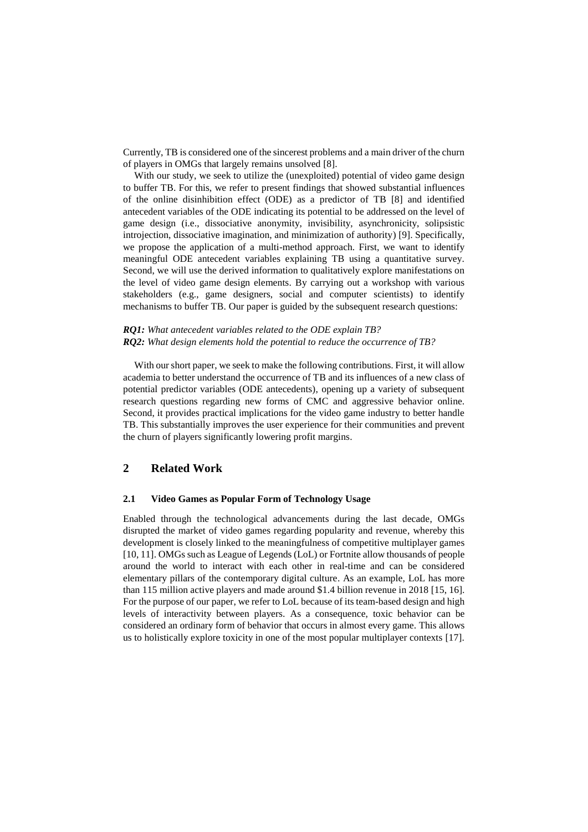Currently, TB is considered one of the sincerest problems and a main driver of the churn of players in OMGs that largely remains unsolved [8].

With our study, we seek to utilize the (unexploited) potential of video game design to buffer TB. For this, we refer to present findings that showed substantial influences of the online disinhibition effect (ODE) as a predictor of TB [8] and identified antecedent variables of the ODE indicating its potential to be addressed on the level of game design (i.e., dissociative anonymity, invisibility, asynchronicity, solipsistic introjection, dissociative imagination, and minimization of authority) [9]. Specifically, we propose the application of a multi-method approach. First, we want to identify meaningful ODE antecedent variables explaining TB using a quantitative survey. Second, we will use the derived information to qualitatively explore manifestations on the level of video game design elements. By carrying out a workshop with various stakeholders (e.g., game designers, social and computer scientists) to identify mechanisms to buffer TB. Our paper is guided by the subsequent research questions:

#### *RQ1: What antecedent variables related to the ODE explain TB? RQ2: What design elements hold the potential to reduce the occurrence of TB?*

With our short paper, we seek to make the following contributions. First, it will allow academia to better understand the occurrence of TB and its influences of a new class of potential predictor variables (ODE antecedents), opening up a variety of subsequent research questions regarding new forms of CMC and aggressive behavior online. Second, it provides practical implications for the video game industry to better handle TB. This substantially improves the user experience for their communities and prevent the churn of players significantly lowering profit margins.

## **2 Related Work**

#### **2.1 Video Games as Popular Form of Technology Usage**

Enabled through the technological advancements during the last decade, OMGs disrupted the market of video games regarding popularity and revenue, whereby this development is closely linked to the meaningfulness of competitive multiplayer games [10, 11]. OMGs such as League of Legends (LoL) or Fortnite allow thousands of people around the world to interact with each other in real-time and can be considered elementary pillars of the contemporary digital culture. As an example, LoL has more than 115 million active players and made around \$1.4 billion revenue in 2018 [15, 16]. For the purpose of our paper, we refer to LoL because of its team-based design and high levels of interactivity between players. As a consequence, toxic behavior can be considered an ordinary form of behavior that occurs in almost every game. This allows us to holistically explore toxicity in one of the most popular multiplayer contexts [17].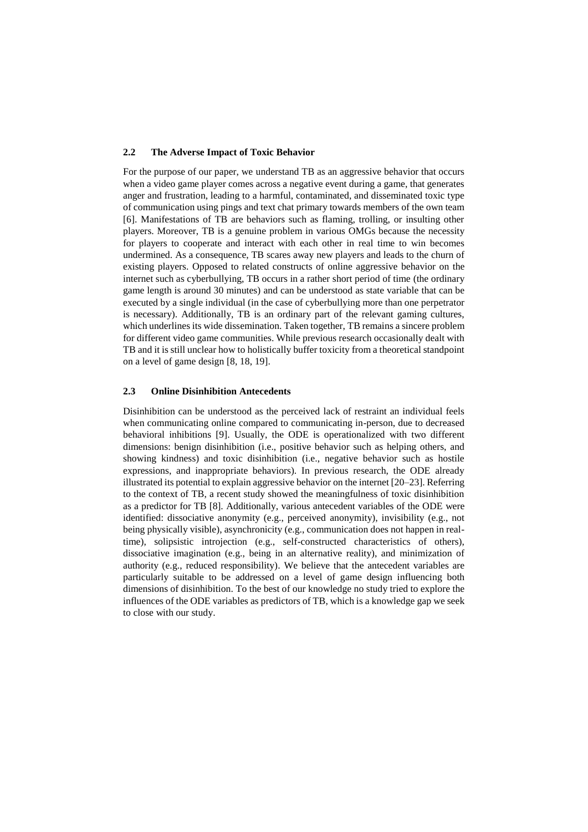#### **2.2 The Adverse Impact of Toxic Behavior**

For the purpose of our paper, we understand TB as an aggressive behavior that occurs when a video game player comes across a negative event during a game, that generates anger and frustration, leading to a harmful, contaminated, and disseminated toxic type of communication using pings and text chat primary towards members of the own team [6]. Manifestations of TB are behaviors such as flaming, trolling, or insulting other players. Moreover, TB is a genuine problem in various OMGs because the necessity for players to cooperate and interact with each other in real time to win becomes undermined. As a consequence, TB scares away new players and leads to the churn of existing players. Opposed to related constructs of online aggressive behavior on the internet such as cyberbullying, TB occurs in a rather short period of time (the ordinary game length is around 30 minutes) and can be understood as state variable that can be executed by a single individual (in the case of cyberbullying more than one perpetrator is necessary). Additionally, TB is an ordinary part of the relevant gaming cultures, which underlines its wide dissemination. Taken together, TB remains a sincere problem for different video game communities. While previous research occasionally dealt with TB and it is still unclear how to holistically buffer toxicity from a theoretical standpoint on a level of game design [8, 18, 19].

#### **2.3 Online Disinhibition Antecedents**

Disinhibition can be understood as the perceived lack of restraint an individual feels when communicating online compared to communicating in-person, due to decreased behavioral inhibitions [9]. Usually, the ODE is operationalized with two different dimensions: benign disinhibition (i.e., positive behavior such as helping others, and showing kindness) and toxic disinhibition (i.e., negative behavior such as hostile expressions, and inappropriate behaviors). In previous research, the ODE already illustrated its potential to explain aggressive behavior on the internet [20–23]. Referring to the context of TB, a recent study showed the meaningfulness of toxic disinhibition as a predictor for TB [8]. Additionally, various antecedent variables of the ODE were identified: dissociative anonymity (e.g., perceived anonymity), invisibility (e.g., not being physically visible), asynchronicity (e.g., communication does not happen in realtime), solipsistic introjection (e.g., self-constructed characteristics of others), dissociative imagination (e.g., being in an alternative reality), and minimization of authority (e.g., reduced responsibility). We believe that the antecedent variables are particularly suitable to be addressed on a level of game design influencing both dimensions of disinhibition. To the best of our knowledge no study tried to explore the influences of the ODE variables as predictors of TB, which is a knowledge gap we seek to close with our study.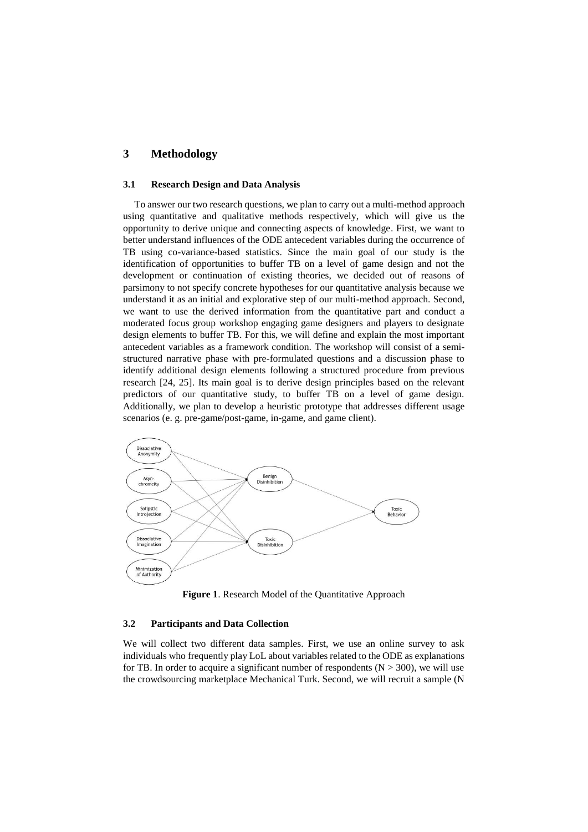## **3 Methodology**

#### **3.1 Research Design and Data Analysis**

To answer our two research questions, we plan to carry out a multi-method approach using quantitative and qualitative methods respectively, which will give us the opportunity to derive unique and connecting aspects of knowledge. First, we want to better understand influences of the ODE antecedent variables during the occurrence of TB using co-variance-based statistics. Since the main goal of our study is the identification of opportunities to buffer TB on a level of game design and not the development or continuation of existing theories, we decided out of reasons of parsimony to not specify concrete hypotheses for our quantitative analysis because we understand it as an initial and explorative step of our multi-method approach. Second, we want to use the derived information from the quantitative part and conduct a moderated focus group workshop engaging game designers and players to designate design elements to buffer TB. For this, we will define and explain the most important antecedent variables as a framework condition. The workshop will consist of a semistructured narrative phase with pre-formulated questions and a discussion phase to identify additional design elements following a structured procedure from previous research [24, 25]. Its main goal is to derive design principles based on the relevant predictors of our quantitative study, to buffer TB on a level of game design. Additionally, we plan to develop a heuristic prototype that addresses different usage scenarios (e. g. pre-game/post-game, in-game, and game client).



**Figure 1**. Research Model of the Quantitative Approach

#### **3.2 Participants and Data Collection**

We will collect two different data samples. First, we use an online survey to ask individuals who frequently play LoL about variables related to the ODE as explanations for TB. In order to acquire a significant number of respondents  $(N > 300)$ , we will use the crowdsourcing marketplace Mechanical Turk. Second, we will recruit a sample (N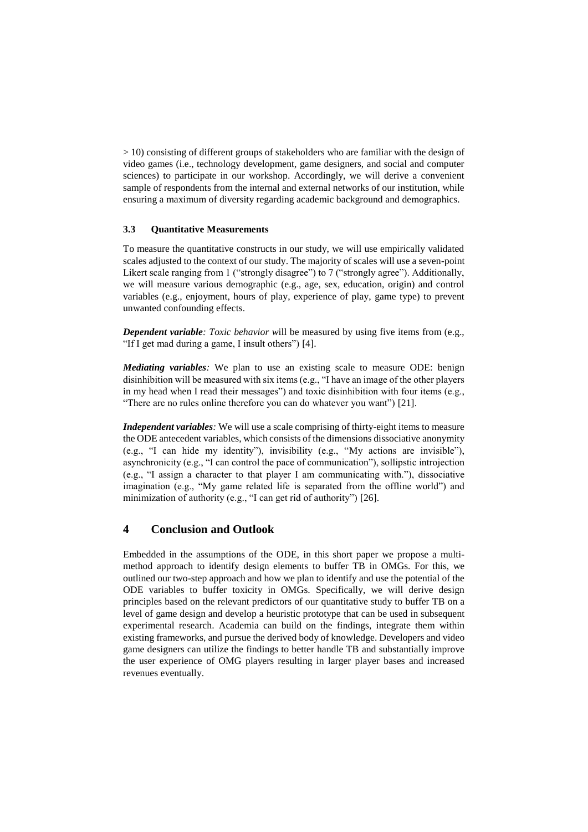> 10) consisting of different groups of stakeholders who are familiar with the design of video games (i.e., technology development, game designers, and social and computer sciences) to participate in our workshop. Accordingly, we will derive a convenient sample of respondents from the internal and external networks of our institution, while ensuring a maximum of diversity regarding academic background and demographics.

#### **3.3 Quantitative Measurements**

To measure the quantitative constructs in our study, we will use empirically validated scales adjusted to the context of our study. The majority of scales will use a seven-point Likert scale ranging from 1 ("strongly disagree") to 7 ("strongly agree"). Additionally, we will measure various demographic (e.g., age, sex, education, origin) and control variables (e.g., enjoyment, hours of play, experience of play, game type) to prevent unwanted confounding effects.

*Dependent variable: Toxic behavior w*ill be measured by using five items from (e.g., "If I get mad during a game, I insult others") [4].

*Mediating variables:* We plan to use an existing scale to measure ODE: benign disinhibition will be measured with six items (e.g., "I have an image of the other players in my head when I read their messages") and toxic disinhibition with four items (e.g., "There are no rules online therefore you can do whatever you want") [21].

*Independent variables*: We will use a scale comprising of thirty-eight items to measure the ODE antecedent variables, which consists of the dimensions dissociative anonymity (e.g., "I can hide my identity"), invisibility (e.g., "My actions are invisible"), asynchronicity (e.g., "I can control the pace of communication"), sollipstic introjection (e.g., "I assign a character to that player I am communicating with."), dissociative imagination (e.g., "My game related life is separated from the offline world") and minimization of authority (e.g., "I can get rid of authority") [26].

### **4 Conclusion and Outlook**

Embedded in the assumptions of the ODE, in this short paper we propose a multimethod approach to identify design elements to buffer TB in OMGs. For this, we outlined our two-step approach and how we plan to identify and use the potential of the ODE variables to buffer toxicity in OMGs. Specifically, we will derive design principles based on the relevant predictors of our quantitative study to buffer TB on a level of game design and develop a heuristic prototype that can be used in subsequent experimental research. Academia can build on the findings, integrate them within existing frameworks, and pursue the derived body of knowledge. Developers and video game designers can utilize the findings to better handle TB and substantially improve the user experience of OMG players resulting in larger player bases and increased revenues eventually.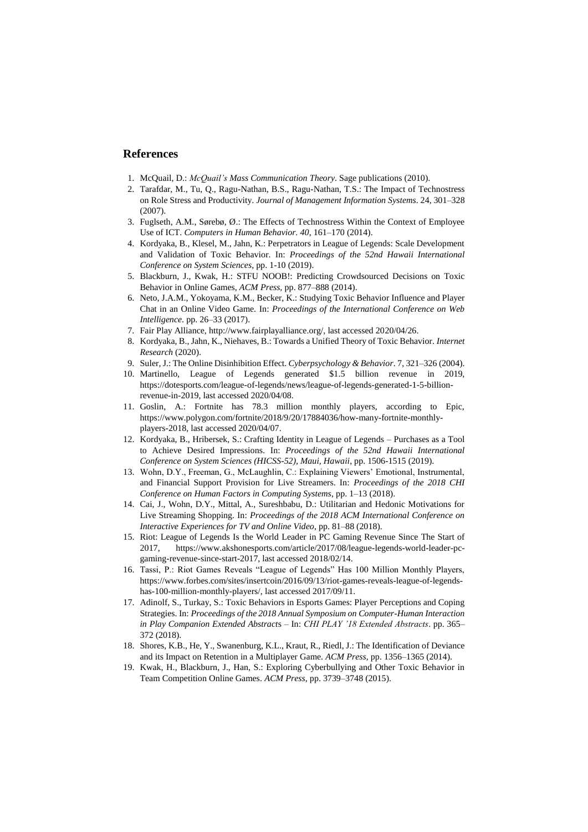## **References**

- 1. McQuail, D.: *McQuail's Mass Communication Theory*. Sage publications (2010).
- 2. Tarafdar, M., Tu, Q., Ragu-Nathan, B.S., Ragu-Nathan, T.S.: The Impact of Technostress on Role Stress and Productivity. *Journal of Management Information Systems*. 24, 301–328 (2007).
- 3. Fuglseth, A.M., Sørebø, Ø.: The Effects of Technostress Within the Context of Employee Use of ICT. *Computers in Human Behavior. 40*, 161–170 (2014).
- 4. Kordyaka, B., Klesel, M., Jahn, K.: Perpetrators in League of Legends: Scale Development and Validation of Toxic Behavior. In: *Proceedings of the 52nd Hawaii International Conference on System Sciences*, pp. 1-10 (2019).
- 5. Blackburn, J., Kwak, H.: STFU NOOB!: Predicting Crowdsourced Decisions on Toxic Behavior in Online Games, *ACM Press,* pp. 877–888 (2014).
- 6. Neto, J.A.M., Yokoyama, K.M., Becker, K.: Studying Toxic Behavior Influence and Player Chat in an Online Video Game. In: *Proceedings of the International Conference on Web Intelligence*. pp. 26–33 (2017).
- 7. Fair Play Alliance, http://www.fairplayalliance.org/, last accessed 2020/04/26.
- 8. Kordyaka, B., Jahn, K., Niehaves, B.: Towards a Unified Theory of Toxic Behavior. *Internet Research* (2020).
- 9. Suler, J.: The Online Disinhibition Effect. *Cyberpsychology & Behavior*. 7, 321–326 (2004).
- 10. Martinello, League of Legends generated \$1.5 billion revenue in 2019, https://dotesports.com/league-of-legends/news/league-of-legends-generated-1-5-billionrevenue-in-2019, last accessed 2020/04/08.
- 11. Goslin, A.: Fortnite has 78.3 million monthly players, according to Epic, https://www.polygon.com/fortnite/2018/9/20/17884036/how-many-fortnite-monthlyplayers-2018, last accessed 2020/04/07.
- 12. Kordyaka, B., Hribersek, S.: Crafting Identity in League of Legends Purchases as a Tool to Achieve Desired Impressions. In: *Proceedings of the 52nd Hawaii International Conference on System Sciences (HICSS-52), Maui, Hawaii*, pp. 1506-1515 (2019).
- 13. Wohn, D.Y., Freeman, G., McLaughlin, C.: Explaining Viewers' Emotional, Instrumental, and Financial Support Provision for Live Streamers. In: *Proceedings of the 2018 CHI Conference on Human Factors in Computing Systems,* pp. 1–13 (2018).
- 14. Cai, J., Wohn, D.Y., Mittal, A., Sureshbabu, D.: Utilitarian and Hedonic Motivations for Live Streaming Shopping. In: *Proceedings of the 2018 ACM International Conference on Interactive Experiences for TV and Online Video*, pp. 81–88 (2018).
- 15. Riot: League of Legends Is the World Leader in PC Gaming Revenue Since The Start of 2017, https://www.akshonesports.com/article/2017/08/league-legends-world-leader-pcgaming-revenue-since-start-2017, last accessed 2018/02/14.
- 16. Tassi, P.: Riot Games Reveals "League of Legends" Has 100 Million Monthly Players, https://www.forbes.com/sites/insertcoin/2016/09/13/riot-games-reveals-league-of-legendshas-100-million-monthly-players/, last accessed 2017/09/11.
- 17. Adinolf, S., Turkay, S.: Toxic Behaviors in Esports Games: Player Perceptions and Coping Strategies. In: *Proceedings of the 2018 Annual Symposium on Computer-Human Interaction in Play Companion Extended Abstract*s – In: *CHI PLAY '18 Extended Abstracts*. pp. 365– 372 (2018).
- 18. Shores, K.B., He, Y., Swanenburg, K.L., Kraut, R., Riedl, J.: The Identification of Deviance and its Impact on Retention in a Multiplayer Game. *ACM Press*, pp. 1356–1365 (2014).
- 19. Kwak, H., Blackburn, J., Han, S.: Exploring Cyberbullying and Other Toxic Behavior in Team Competition Online Games. *ACM Press*, pp. 3739–3748 (2015).